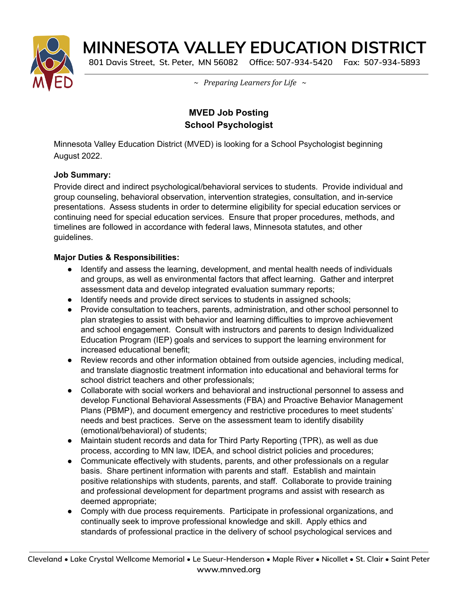

# **MINNESOTA VALLEY EDUCATION DISTRICT**

**801 Davis Street, St. Peter, MN 56082 Office: 507-934-5420 Fax: 507-934-5893**

*~ Preparing Learners for Life ~*

## **MVED Job Posting School Psychologist**

Minnesota Valley Education District (MVED) is looking for a School Psychologist beginning August 2022.

### **Job Summary:**

Provide direct and indirect psychological/behavioral services to students. Provide individual and group counseling, behavioral observation, intervention strategies, consultation, and in-service presentations. Assess students in order to determine eligibility for special education services or continuing need for special education services. Ensure that proper procedures, methods, and timelines are followed in accordance with federal laws, Minnesota statutes, and other guidelines.

### **Major Duties & Responsibilities:**

- Identify and assess the learning, development, and mental health needs of individuals and groups, as well as environmental factors that affect learning. Gather and interpret assessment data and develop integrated evaluation summary reports;
- Identify needs and provide direct services to students in assigned schools;
- Provide consultation to teachers, parents, administration, and other school personnel to plan strategies to assist with behavior and learning difficulties to improve achievement and school engagement. Consult with instructors and parents to design Individualized Education Program (IEP) goals and services to support the learning environment for increased educational benefit;
- Review records and other information obtained from outside agencies, including medical, and translate diagnostic treatment information into educational and behavioral terms for school district teachers and other professionals;
- Collaborate with social workers and behavioral and instructional personnel to assess and develop Functional Behavioral Assessments (FBA) and Proactive Behavior Management Plans (PBMP), and document emergency and restrictive procedures to meet students' needs and best practices. Serve on the assessment team to identify disability (emotional/behavioral) of students;
- Maintain student records and data for Third Party Reporting (TPR), as well as due process, according to MN law, IDEA, and school district policies and procedures;
- Communicate effectively with students, parents, and other professionals on a regular basis. Share pertinent information with parents and staff. Establish and maintain positive relationships with students, parents, and staff. Collaborate to provide training and professional development for department programs and assist with research as deemed appropriate;
- Comply with due process requirements. Participate in professional organizations, and continually seek to improve professional knowledge and skill. Apply ethics and standards of professional practice in the delivery of school psychological services and